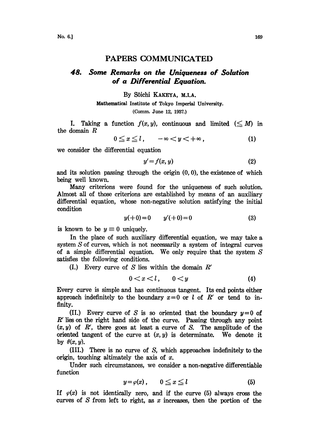## PAPERS COMMUNICATED

## 48. Some Remarks on the Uniqueness of Solution of a Differential Equation.

## By S6ichi KAKEYA, M.I.A.

Mathematical Institute of Tokyo Imperial University. (Comm. June 12, 1937.)

I. Taking a function  $f(x, y)$ , continuous and limited  $(\leq M)$  in the domain R

$$
0 \le x \le l, \quad -\infty < y < +\infty \tag{1}
$$
\nerential equation

we consider the differential equation

$$
y'=f(x,y) \tag{2}
$$

and its solution passing through the origin  $(0, 0)$ , the existence of which being well known.

Many criterions were found for the uniqueness of such solution. Almost all of those criterions are established by means of an auxiliary differential equation, whose non-negative solution satisfying the initial condition

$$
y(+0) = 0 \qquad y'(+0) = 0 \tag{3}
$$

is known to be  $y \equiv 0$  uniquely.

In the place of such auxiliary differential equation, we may take a system S of curves, which is not necessarily a system of integral curves of a simple differential equation. We only require that the system S satisfies the following conditions.

(I.) Every curve of S lies within the domain  $R'$ 

$$
0 < x < l \tag{4}
$$

Every curve is simple and has continuous tangent. Its end points either approach indefinitely to the boundary  $x=0$  or l of R' or tend to infinity.

(II.) Every curve of S is so oriented that the boundary  $y=0$  of  $R'$  lies on the right hand side of the curve. Passing through any point  $(x, y)$  of R', there goes at least a curve of S. The amplitude of the oriented tangent of the curve at  $(x, y)$  is determinate. We denote it by  $\theta(x, y)$ .

(III.) There is no curve of S, which approaches indefinitely to the origin, touching altimately the axis of x.

Under such circumstances, we consider a non-negative differentiable function

$$
y = \varphi(x), \qquad 0 \le x \le l \tag{5}
$$

If  $\varphi(x)$  is not identically zero, and if the curve (5) always cross the curves of S from left to right, as x increases, then the portion of the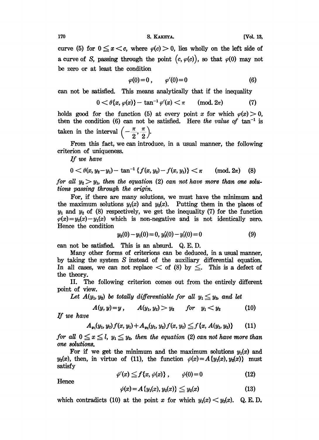$170$  S. KAKEYA. [Vol. 13,

curve (5) for  $0 \le x < c$ , where  $\varphi(c) > 0$ , lies wholly on the left side of a curve of S, passing through the point  $(c, \varphi(c))$ , so that  $\varphi(0)$  may not be zero or at least the condition

$$
\varphi(0)=0\,,\qquad \varphi'(0)=0\tag{6}
$$

can not be satisfied. This means analytically that if the inequality

$$
0 < \theta\{x, \varphi(x)\} - \tan^{-1}\varphi'(x) < \pi \quad (\text{mod. } 2\pi)
$$
 (7)

 $0 < \theta\{x, \varphi(x)\} - \tan^{-1} \varphi'(x) < \pi$  (mod. 2 $\pi$ ) (7)<br>holds good for the function (5) at every point x for which  $\varphi(x) > 0$ , then the condition (6) can not be satisfied. Here the value of  $\tan^{-1}$  is taken in the interval  $\left(-\frac{\pi}{n}, \frac{\pi}{n}\right)$ . taken in the interval  $\left(-\frac{\pi}{2},\frac{\pi}{2}\right)$ .

From this fact, we can introduce, in a usual manner, the following criterion of uniqueness.

If we have

$$
0 < \theta(x, y_2 - y_1) - \tan^{-1} \{ f(x, y_2) - f(x, y_1) \} < \pi \quad \text{(mod. } 2\pi) \quad (8)
$$

 $0 < \theta(x, y_2-y_1) - \tan^{-1}\{f(x, y_2) - f(x, y_1)\} < \pi$  (mod. 2 $\pi$ ) (8)<br>for all  $y_2 > y_1$ , then the equation (2) can not have more than one solutions passing through the origin. tions passing through the origin.<br>For, if there are many solutions, we must have the minimum and

the maximum solutions  $y_1(x)$  and  $y_2(x)$ . Putting them in the places of  $y_1$  and  $y_2$  of (8) respectively, we get the inequality (7) for the function  $\varphi(x)=y_2(x)-y_1(x)$  which is non-negative and is not identically zero. Hence the condition

$$
y_2(0) - y_1(0) = 0, y_2'(0) - y_1'(0) = 0 \tag{9}
$$

can not be satisfied. This is an absurd.  $Q.E.D.$ 

Many other forms of criterions can be deduced, in a usual manner, by taking the system  $S$  instead of the auxiliary differential equation. In all cases, we can not replace  $\lt$  of (8) by  $\leq$ . This is a defect of the theory.

II. The following criterion comes out from the entirely different point of view.

Let  $A(y_1, y_2)$  be totally differentiable for all  $y_1 \leq y_2$ , and let

 $A(y, y)=y$ ,  $A(y_1, y_2) > y_2$  for  $y_1 < y_2$  (10)

If we have

$$
A_{y_1}(y_1, y_2) f(x, y_1) + A_{y_2}(y_1, y_2) f(x, y_2) \leq f\{x, A(y_1, y_2)\} \qquad (11)
$$

for all  $0 \le x \le l$ ,  $y_1 \le y_2$ , then the equation (2) can not have more than one solutions.

For if we get the minimum and the maximum solutions  $y_1(x)$  and  $y_2(x)$ , then, in virtue of (11), the function  $\psi(x)=A\{y_1(x),y_2(x)\}\$  must satisfy

$$
\psi'(x) \leq f\{x, \psi(x)\}, \qquad \psi(0) = 0 \tag{12}
$$

Hence

$$
\psi(x) = A\{y_1(x), y_2(x)\} \leq y_2(x) \tag{13}
$$

which contradicts (10) at the point x for which  $y_1(x) < y_2(x)$ . Q.E.D.